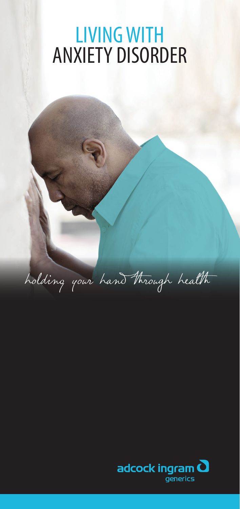# LIVING WITH ANXIETY DISORDER

holding your hand through health

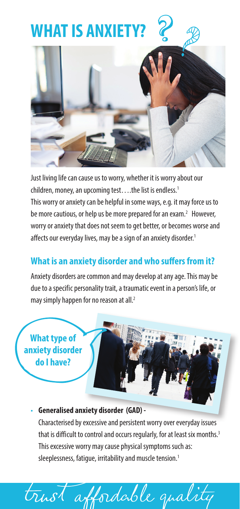



Just living life can cause us to worry, whether it is worry about our children, money, an upcoming test....the list is endless.<sup>1</sup> This worry or anxiety can be helpful in some ways, e.g. it may force us to be more cautious, or help us be more prepared for an exam.<sup>2</sup> However, worry or anxiety that does not seem to get better, or becomes worse and affects our everyday lives, may be a sign of an anxiety disorder.<sup>1</sup>

#### **What is an anxiety disorder and who suffers from it?**

Anxiety disorders are common and may develop at any age. This may be due to a specific personality trait, a traumatic event in a person's life, or may simply happen for no reason at all.<sup>2</sup>



• **Generalised anxiety disorder (GAD) -** Characterised by excessive and persistent worry over everyday issues that is difficult to control and occurs regularly, for at least six months.<sup>3</sup> This excessive worry may cause physical symptoms such as: sleeplessness, fatique, irritability and muscle tension.<sup>1</sup>

trust affordable quality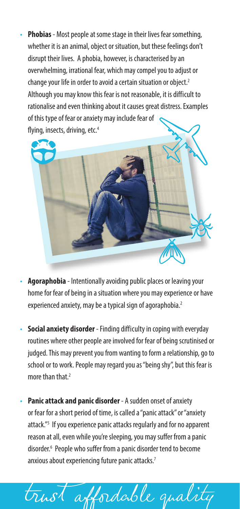• **Phobias** - Most people at some stage in their lives fear something, whether it is an animal, object or situation, but these feelings don't disrupt their lives. A phobia, however, is characterised by an overwhelming, irrational fear, which may compel you to adjust or change your life in order to avoid a certain situation or object.<sup>2</sup> Although you may know this fear is not reasonable, it is difficult to rationalise and even thinking about it causes great distress. Examples of this type of fear or anxiety may include fear of flying, insects, driving, etc.<sup>4</sup>



- **Agoraphobia**  Intentionally avoiding public places or leaving your home for fear of being in a situation where you may experience or have experienced anxiety, may be a typical sign of agoraphobia.<sup>2</sup>
- **Social anxiety disorder**  Finding difficulty in coping with everyday routines where other people are involved for fear of being scrutinised or judged. This may prevent you from wanting to form a relationship, go to school or to work. People may regard you as "being shy", but this fear is more than that 2
- **Panic attack and panic disorder**  A sudden onset of anxiety or fear for a short period of time, is called a "panic attack" or "anxiety attack."5 If you experience panic attacks regularly and for no apparent reason at all, even while you're sleeping, you may suffer from a panic disorder.6 People who suffer from a panic disorder tend to become anxious about experiencing future panic attacks.<sup>7</sup>

trust affordable quality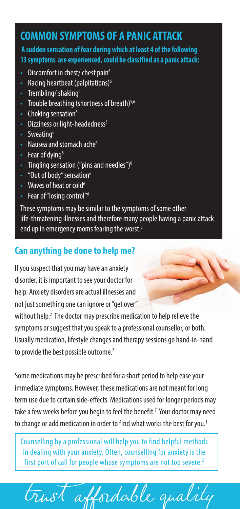# **COMMON SYMPTOMS OF A PANIC ATTACK**

#### **A sudden sensation of fear during which at least 4 of the following 13 symptoms are experienced, could be classified as a panic attack:**

- Discomfort in chest/ chest pain<sup>6</sup>
- Racing heartbeat (palpitations)<sup>6</sup>
- Trembling/shaking $6$
- Trouble breathing (shortness of breath) $5,6$
- Choking sensation $6$
- Dizziness or light-headedness<sup>5</sup>
- Sweating $6$
- Nausea and stomach ache<sup>6</sup>
- Fear of dving<sup>6</sup>
- Tingling sensation ("pins and needles") $6$
- "Out of body" sensation<sup>6</sup>
- Waves of heat or cold<sup>6</sup>
- Fear of "losing control"<sup>6</sup>

These symptoms may be similar to the symptoms of some other life-threatening illnesses and therefore many people having a panic attack end up in emergency rooms fearing the worst.<sup>6</sup>

## **Can anything be done to help me?**

If you suspect that you may have an anxiety disorder, it is important to see your doctor for help. Anxiety disorders are actual illnesses and not just something one can ignore or "get over"

without help.<sup>2</sup> The doctor may prescribe medication to help relieve the symptoms or suggest that you speak to a professional counsellor, or both. Usually medication, lifestyle changes and therapy sessions go hand-in-hand to provide the best possible outcome.<sup>7</sup>

Some medications may be prescribed for a short period to help ease your immediate symptoms. However, these medications are not meant for long term use due to certain side-effects. Medications used for longer periods may take a few weeks before you begin to feel the benefit.<sup>7</sup> Your doctor may need to change or add medication in order to find what works the best for you.<sup>1</sup>

Counselling by a professional will help you to find helpful methods in dealing with your anxiety. Often, counselling for anxiety is the first port of call for people whose symptoms are not too severe.<sup>2</sup>

trust affordable quality